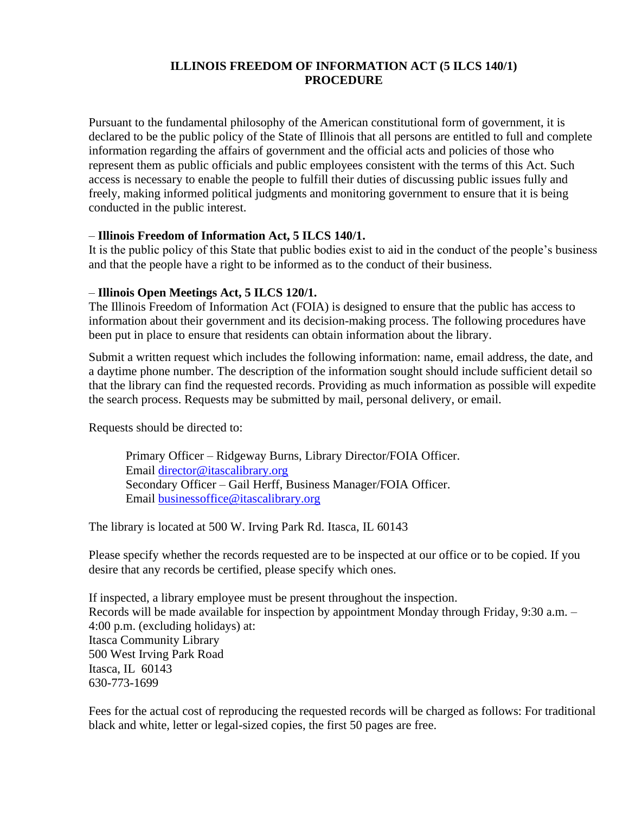#### **ILLINOIS FREEDOM OF INFORMATION ACT (5 ILCS 140/1) PROCEDURE**

Pursuant to the fundamental philosophy of the American constitutional form of government, it is declared to be the public policy of the State of Illinois that all persons are entitled to full and complete information regarding the affairs of government and the official acts and policies of those who represent them as public officials and public employees consistent with the terms of this Act. Such access is necessary to enable the people to fulfill their duties of discussing public issues fully and freely, making informed political judgments and monitoring government to ensure that it is being conducted in the public interest.

#### – **Illinois Freedom of Information Act, 5 ILCS 140/1.**

It is the public policy of this State that public bodies exist to aid in the conduct of the people's business and that the people have a right to be informed as to the conduct of their business.

## – **Illinois Open Meetings Act, 5 ILCS 120/1.**

The Illinois Freedom of Information Act (FOIA) is designed to ensure that the public has access to information about their government and its decision-making process. The following procedures have been put in place to ensure that residents can obtain information about the library.

Submit a written request which includes the following information: name, email address, the date, and a daytime phone number. The description of the information sought should include sufficient detail so that the library can find the requested records. Providing as much information as possible will expedite the search process. Requests may be submitted by mail, personal delivery, or email.

Requests should be directed to:

Primary Officer – Ridgeway Burns, Library Director/FOIA Officer. Email [director@itascalibrary.org](mailto:director@itascalibrary.org) Secondary Officer – Gail Herff, Business Manager/FOIA Officer. Email [businessoffice@itascalibrary.org](mailto:businessoffice@itascalibrary.org)

The library is located at 500 W. Irving Park Rd. Itasca, IL 60143

Please specify whether the records requested are to be inspected at our office or to be copied. If you desire that any records be certified, please specify which ones.

If inspected, a library employee must be present throughout the inspection. Records will be made available for inspection by appointment Monday through Friday, 9:30 a.m. – 4:00 p.m. (excluding holidays) at: Itasca Community Library 500 West Irving Park Road Itasca, IL 60143 630-773-1699

Fees for the actual cost of reproducing the requested records will be charged as follows: For traditional black and white, letter or legal-sized copies, the first 50 pages are free.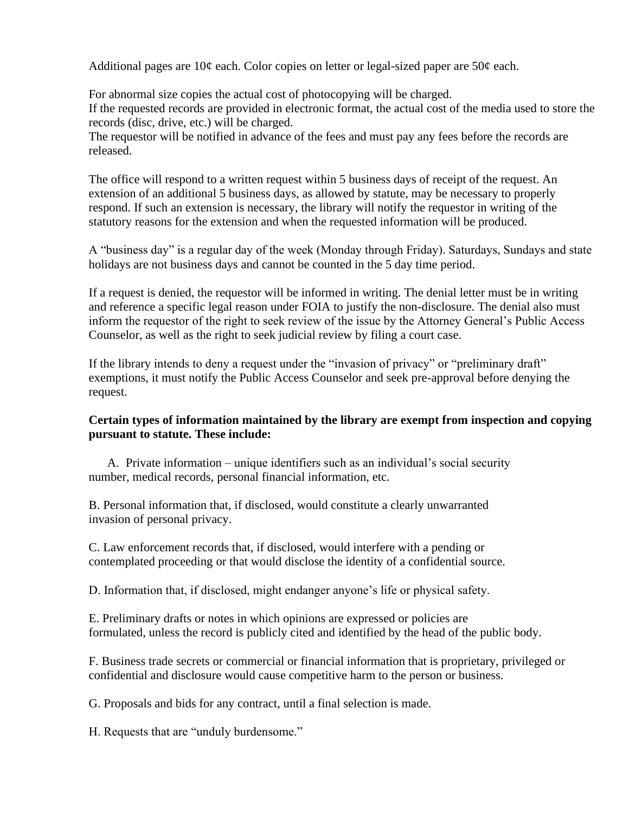Additional pages are  $10¢$  each. Color copies on letter or legal-sized paper are  $50¢$  each.

For abnormal size copies the actual cost of photocopying will be charged. If the requested records are provided in electronic format, the actual cost of the media used to store the records (disc, drive, etc.) will be charged.

The requestor will be notified in advance of the fees and must pay any fees before the records are released.

The office will respond to a written request within 5 business days of receipt of the request. An extension of an additional 5 business days, as allowed by statute, may be necessary to properly respond. If such an extension is necessary, the library will notify the requestor in writing of the statutory reasons for the extension and when the requested information will be produced.

A "business day" is a regular day of the week (Monday through Friday). Saturdays, Sundays and state holidays are not business days and cannot be counted in the 5 day time period.

If a request is denied, the requestor will be informed in writing. The denial letter must be in writing and reference a specific legal reason under FOIA to justify the non-disclosure. The denial also must inform the requestor of the right to seek review of the issue by the Attorney General's Public Access Counselor, as well as the right to seek judicial review by filing a court case.

If the library intends to deny a request under the "invasion of privacy" or "preliminary draft" exemptions, it must notify the Public Access Counselor and seek pre-approval before denying the request.

## **Certain types of information maintained by the library are exempt from inspection and copying pursuant to statute. These include:**

A. Private information – unique identifiers such as an individual's social security number, medical records, personal financial information, etc.

B. Personal information that, if disclosed, would constitute a clearly unwarranted invasion of personal privacy.

C. Law enforcement records that, if disclosed, would interfere with a pending or contemplated proceeding or that would disclose the identity of a confidential source.

D. Information that, if disclosed, might endanger anyone's life or physical safety.

E. Preliminary drafts or notes in which opinions are expressed or policies are formulated, unless the record is publicly cited and identified by the head of the public body.

F. Business trade secrets or commercial or financial information that is proprietary, privileged or confidential and disclosure would cause competitive harm to the person or business.

G. Proposals and bids for any contract, until a final selection is made.

H. Requests that are "unduly burdensome."